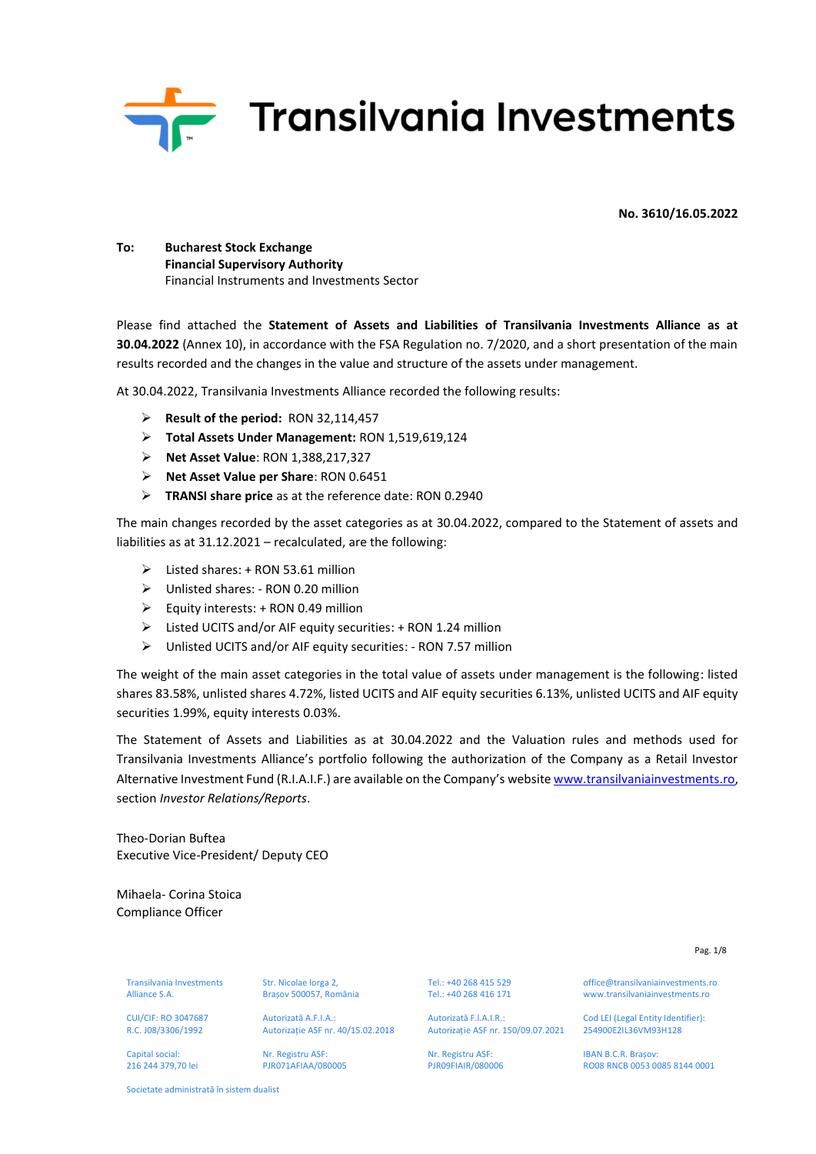

**No. 3610/16.05.2022**

### **To: Bucharest Stock Exchange Financial Supervisory Authority**  Financial Instruments and Investments Sector

Please find attached the **Statement of Assets and Liabilities of Transilvania Investments Alliance as at 30.04.2022** (Annex 10), in accordance with the FSA Regulation no. 7/2020, and a short presentation of the main results recorded and the changes in the value and structure of the assets under management.

At 30.04.2022, Transilvania Investments Alliance recorded the following results:

- ➢ **Result of the period:** RON 32,114,457
- ➢ **Total Assets Under Management:** RON 1,519,619,124
- ➢ **Net Asset Value**: RON 1,388,217,327
- ➢ **Net Asset Value per Share**: RON 0.6451
- ➢ **TRANSI share price** as at the reference date: RON 0.2940

The main changes recorded by the asset categories as at 30.04.2022, compared to the Statement of assets and liabilities as at 31.12.2021 – recalculated, are the following:

- $\triangleright$  Listed shares: + RON 53.61 million
- ➢ Unlisted shares: RON 0.20 million
- ➢ Equity interests: + RON 0.49 million
- ➢ Listed UCITS and/or AIF equity securities: + RON 1.24 million
- ➢ Unlisted UCITS and/or AIF equity securities: RON 7.57 million

The weight of the main asset categories in the total value of assets under management is the following: listed shares 83.58%, unlisted shares 4.72%, listed UCITS and AIF equity securities 6.13%, unlisted UCITS and AIF equity securities 1.99%, equity interests 0.03%.

The Statement of Assets and Liabilities as at 30.04.2022 and the Valuation rules and methods used for Transilvania Investments Alliance's portfolio following the authorization of the Company as a Retail Investor Alternative Investment Fund (R.I.A.I.F.) are available on the Company's websit[e www.transilvaniainvestments.ro,](http://www.siftransilvania.ro/) section *Investor Relations/Reports*.

Theo-Dorian Buftea Executive Vice-President/ Deputy CEO

Mihaela- Corina Stoica Compliance Officer

Transilvania Investments Alliance S.A.

CUI/CIF: RO 3047687 R.C. J08/3306/1992 Capital social: 216 244 379,70 lei

Str. Nicolae lorga 2, Brașov 500057, România

Nr. Registru ASF: PJR071AFIAA/080005

Autorizată A.F.I.A.<sup>:</sup> Autorizație ASF nr. 40/15.02.2018

Tel.: +40 268 415 529 Tel.: +40 268 416 171

Autorizată F.I.A.I.R.<sup>:</sup> Autorizație ASF nr. 150/09.07.2021

Nr. Registru ASF: PJR09FIAIR/080006 office@transilvaniainvestments.ro www.transilvaniainvestments.ro

Pag. 1/8

Cod LEI (Legal Entity Identifier): 254900E2IL36VM93H128

IBAN B.C.R. Brașov: RO08 RNCB 0053 0085 8144 0001

Societate administrată în sistem dualist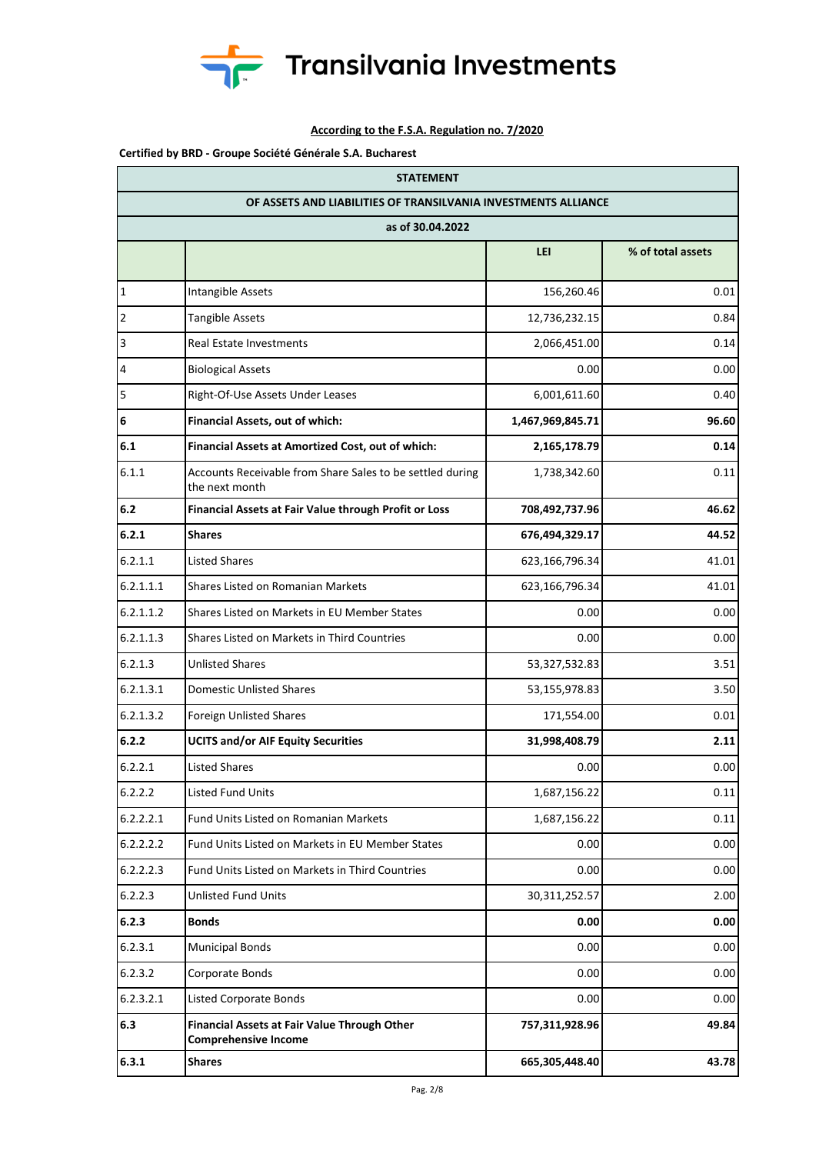

### **According to the F.S.A. Regulation no. 7/2020**

**Certified by BRD - Groupe Société Générale S.A. Bucharest**

| <b>STATEMENT</b> |                                                                             |                  |                   |  |  |  |  |  |  |
|------------------|-----------------------------------------------------------------------------|------------------|-------------------|--|--|--|--|--|--|
|                  | OF ASSETS AND LIABILITIES OF TRANSILVANIA INVESTMENTS ALLIANCE              |                  |                   |  |  |  |  |  |  |
| as of 30.04.2022 |                                                                             |                  |                   |  |  |  |  |  |  |
|                  |                                                                             | LEI              | % of total assets |  |  |  |  |  |  |
| 1                | Intangible Assets                                                           | 156,260.46       | 0.01              |  |  |  |  |  |  |
| 2                | <b>Tangible Assets</b>                                                      | 12,736,232.15    | 0.84              |  |  |  |  |  |  |
| 3                | <b>Real Estate Investments</b>                                              | 2,066,451.00     | 0.14              |  |  |  |  |  |  |
| 4                | <b>Biological Assets</b>                                                    | 0.00             | 0.00              |  |  |  |  |  |  |
| 5                | Right-Of-Use Assets Under Leases                                            | 6,001,611.60     | 0.40              |  |  |  |  |  |  |
| 6                | Financial Assets, out of which:                                             | 1,467,969,845.71 | 96.60             |  |  |  |  |  |  |
| 6.1              | Financial Assets at Amortized Cost, out of which:                           | 2,165,178.79     | 0.14              |  |  |  |  |  |  |
| 6.1.1            | Accounts Receivable from Share Sales to be settled during<br>the next month | 1,738,342.60     | 0.11              |  |  |  |  |  |  |
| 6.2              | Financial Assets at Fair Value through Profit or Loss                       | 708,492,737.96   | 46.62             |  |  |  |  |  |  |
| 6.2.1            | <b>Shares</b>                                                               | 676,494,329.17   | 44.52             |  |  |  |  |  |  |
| 6.2.1.1          | <b>Listed Shares</b>                                                        | 623,166,796.34   | 41.01             |  |  |  |  |  |  |
| 6.2.1.1.1        | Shares Listed on Romanian Markets                                           | 623,166,796.34   | 41.01             |  |  |  |  |  |  |
| 6.2.1.1.2        | Shares Listed on Markets in EU Member States                                | 0.00             | 0.00              |  |  |  |  |  |  |
| 6.2.1.1.3        | Shares Listed on Markets in Third Countries                                 | 0.00             | 0.00              |  |  |  |  |  |  |
| 6.2.1.3          | <b>Unlisted Shares</b>                                                      | 53,327,532.83    | 3.51              |  |  |  |  |  |  |
| 6.2.1.3.1        | <b>Domestic Unlisted Shares</b>                                             | 53,155,978.83    | 3.50              |  |  |  |  |  |  |
| 6.2.1.3.2        | <b>Foreign Unlisted Shares</b>                                              | 171,554.00       | 0.01              |  |  |  |  |  |  |
| 6.2.2            | <b>UCITS and/or AIF Equity Securities</b>                                   | 31,998,408.79    | 2.11              |  |  |  |  |  |  |
| 6.2.2.1          | <b>Listed Shares</b>                                                        | 0.00             | 0.00              |  |  |  |  |  |  |
| 6.2.2.2          | <b>Listed Fund Units</b>                                                    | 1,687,156.22     | 0.11              |  |  |  |  |  |  |
| 6.2.2.2.1        | Fund Units Listed on Romanian Markets                                       | 1,687,156.22     | 0.11              |  |  |  |  |  |  |
| 6.2.2.2.2        | Fund Units Listed on Markets in EU Member States                            | 0.00             | 0.00              |  |  |  |  |  |  |
| 6.2.2.2.3        | Fund Units Listed on Markets in Third Countries                             | 0.00             | 0.00              |  |  |  |  |  |  |
| 6.2.2.3          | <b>Unlisted Fund Units</b>                                                  | 30, 311, 252. 57 | 2.00              |  |  |  |  |  |  |
| 6.2.3            | <b>Bonds</b>                                                                | 0.00             | 0.00              |  |  |  |  |  |  |
| 6.2.3.1          | <b>Municipal Bonds</b>                                                      | 0.00             | 0.00              |  |  |  |  |  |  |
| 6.2.3.2          | Corporate Bonds                                                             | 0.00             | 0.00              |  |  |  |  |  |  |
| 6.2.3.2.1        | <b>Listed Corporate Bonds</b>                                               | 0.00             | 0.00              |  |  |  |  |  |  |
| 6.3              | Financial Assets at Fair Value Through Other<br><b>Comprehensive Income</b> | 757,311,928.96   | 49.84             |  |  |  |  |  |  |
| 6.3.1            | <b>Shares</b>                                                               | 665,305,448.40   | 43.78             |  |  |  |  |  |  |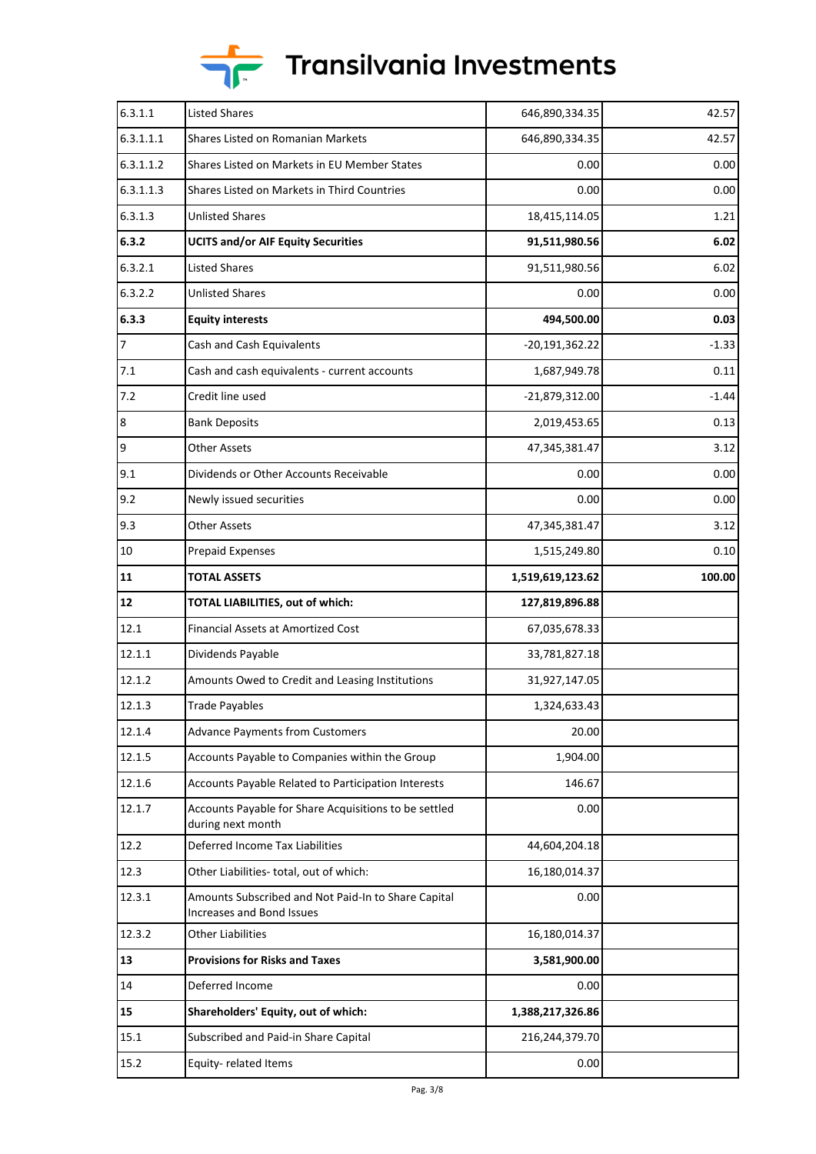# **Transilvania Investments**

| 6.3.1.1        | <b>Listed Shares</b>                                                             | 646,890,334.35   | 42.57   |  |  |
|----------------|----------------------------------------------------------------------------------|------------------|---------|--|--|
| 6.3.1.1.1      | Shares Listed on Romanian Markets                                                | 646,890,334.35   | 42.57   |  |  |
| 6.3.1.1.2      | Shares Listed on Markets in EU Member States                                     | 0.00             | 0.00    |  |  |
| 6.3.1.1.3      | Shares Listed on Markets in Third Countries                                      | 0.00             | 0.00    |  |  |
| 6.3.1.3        | <b>Unlisted Shares</b>                                                           | 18,415,114.05    | 1.21    |  |  |
| 6.3.2          | <b>UCITS and/or AIF Equity Securities</b>                                        | 91,511,980.56    | 6.02    |  |  |
| 6.3.2.1        | <b>Listed Shares</b>                                                             | 91,511,980.56    | 6.02    |  |  |
| 6.3.2.2        | <b>Unlisted Shares</b>                                                           | 0.00             | 0.00    |  |  |
| 6.3.3          | <b>Equity interests</b>                                                          | 494,500.00       | 0.03    |  |  |
| $\overline{7}$ | Cash and Cash Equivalents                                                        | $-20,191,362.22$ | $-1.33$ |  |  |
| 7.1            | Cash and cash equivalents - current accounts                                     | 1,687,949.78     | 0.11    |  |  |
| 7.2            | Credit line used                                                                 | $-21,879,312.00$ | $-1.44$ |  |  |
| $\bf 8$        | <b>Bank Deposits</b>                                                             | 2,019,453.65     | 0.13    |  |  |
| $9\,$          | <b>Other Assets</b>                                                              | 47,345,381.47    | 3.12    |  |  |
| 9.1            | Dividends or Other Accounts Receivable                                           | 0.00             | 0.00    |  |  |
| 9.2            | Newly issued securities                                                          | 0.00             |         |  |  |
| 9.3            | <b>Other Assets</b>                                                              | 47,345,381.47    | 3.12    |  |  |
| 10             | <b>Prepaid Expenses</b>                                                          | 1,515,249.80     | 0.10    |  |  |
|                |                                                                                  |                  |         |  |  |
| 11             | <b>TOTAL ASSETS</b>                                                              | 1,519,619,123.62 | 100.00  |  |  |
| 12             | TOTAL LIABILITIES, out of which:                                                 | 127,819,896.88   |         |  |  |
| 12.1           | Financial Assets at Amortized Cost                                               | 67,035,678.33    |         |  |  |
| 12.1.1         | Dividends Payable                                                                | 33,781,827.18    |         |  |  |
| 12.1.2         | Amounts Owed to Credit and Leasing Institutions                                  | 31,927,147.05    |         |  |  |
| 12.1.3         | <b>Trade Payables</b>                                                            | 1,324,633.43     |         |  |  |
| 12.1.4         | <b>Advance Payments from Customers</b>                                           | 20.00            |         |  |  |
| 12.1.5         | Accounts Payable to Companies within the Group                                   | 1,904.00         |         |  |  |
| 12.1.6         | Accounts Payable Related to Participation Interests                              | 146.67           |         |  |  |
| 12.1.7         | Accounts Payable for Share Acquisitions to be settled<br>during next month       | 0.00             |         |  |  |
| 12.2           | Deferred Income Tax Liabilities                                                  | 44,604,204.18    |         |  |  |
| 12.3           | Other Liabilities- total, out of which:                                          | 16,180,014.37    |         |  |  |
| 12.3.1         | Amounts Subscribed and Not Paid-In to Share Capital<br>Increases and Bond Issues | 0.00             |         |  |  |
| 12.3.2         | <b>Other Liabilities</b>                                                         | 16,180,014.37    |         |  |  |
| 13             | <b>Provisions for Risks and Taxes</b>                                            | 3,581,900.00     |         |  |  |
| 14             | Deferred Income                                                                  | 0.00             |         |  |  |
| 15             | Shareholders' Equity, out of which:                                              | 1,388,217,326.86 |         |  |  |
| 15.1           | Subscribed and Paid-in Share Capital                                             | 216,244,379.70   |         |  |  |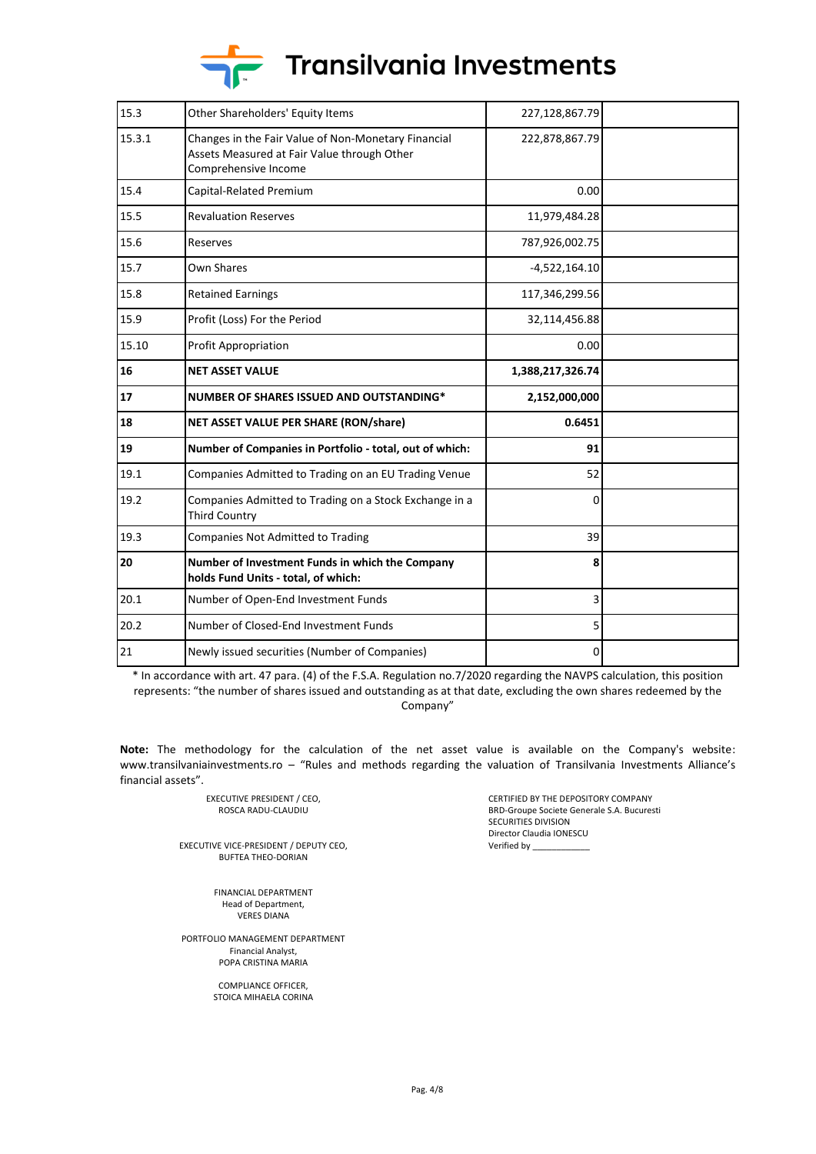

| 15.3   | Other Shareholders' Equity Items                                                                                           | 227,128,867.79   |  |
|--------|----------------------------------------------------------------------------------------------------------------------------|------------------|--|
| 15.3.1 | Changes in the Fair Value of Non-Monetary Financial<br>Assets Measured at Fair Value through Other<br>Comprehensive Income | 222,878,867.79   |  |
| 15.4   | Capital-Related Premium                                                                                                    | 0.00             |  |
| 15.5   | <b>Revaluation Reserves</b>                                                                                                | 11,979,484.28    |  |
| 15.6   | Reserves                                                                                                                   | 787,926,002.75   |  |
| 15.7   | Own Shares                                                                                                                 | $-4,522,164.10$  |  |
| 15.8   | <b>Retained Earnings</b>                                                                                                   | 117,346,299.56   |  |
| 15.9   | Profit (Loss) For the Period                                                                                               | 32,114,456.88    |  |
| 15.10  | Profit Appropriation                                                                                                       | 0.00             |  |
| 16     | <b>NET ASSET VALUE</b>                                                                                                     | 1,388,217,326.74 |  |
| 17     | NUMBER OF SHARES ISSUED AND OUTSTANDING*                                                                                   | 2,152,000,000    |  |
| 18     | NET ASSET VALUE PER SHARE (RON/share)                                                                                      | 0.6451           |  |
| 19     | Number of Companies in Portfolio - total, out of which:                                                                    | 91               |  |
| 19.1   | Companies Admitted to Trading on an EU Trading Venue                                                                       | 52               |  |
| 19.2   | Companies Admitted to Trading on a Stock Exchange in a<br><b>Third Country</b>                                             | 0                |  |
| 19.3   | <b>Companies Not Admitted to Trading</b>                                                                                   | 39               |  |
| 20     | Number of Investment Funds in which the Company<br>holds Fund Units - total, of which:                                     | 8                |  |
| 20.1   | Number of Open-End Investment Funds                                                                                        | 3                |  |
| 20.2   | Number of Closed-End Investment Funds                                                                                      | 5                |  |
| 21     | Newly issued securities (Number of Companies)                                                                              | 0                |  |

\* In accordance with art. 47 para. (4) of the F.S.A. Regulation no.7/2020 regarding the NAVPS calculation, this position represents: "the number of shares issued and outstanding as at that date, excluding the own shares redeemed by the Company"

**Note:** The methodology for the calculation of the net asset value is available on the Company's website: www.transilvaniainvestments.ro – "Rules and methods regarding the valuation of Transilvania Investments Alliance's financial assets".

> EXECUTIVE PRESIDENT / CEO, ROSCA RADU-CLAUDIU

EXECUTIVE VICE-PRESIDENT / DEPUTY CEO, BUFTEA THEO-DORIAN

> FINANCIAL DEPARTMENT Head of Department, VERES DIANA

PORTFOLIO MANAGEMENT DEPARTMENT Financial Analyst, POPA CRISTINA MARIA

> COMPLIANCE OFFICER, STOICA MIHAELA CORINA

CERTIFIED BY THE DEPOSITORY COMPANY BRD-Groupe Societe Generale S.A. Bucuresti SECURITIES DIVISION Director Claudia IONESCU Verified by \_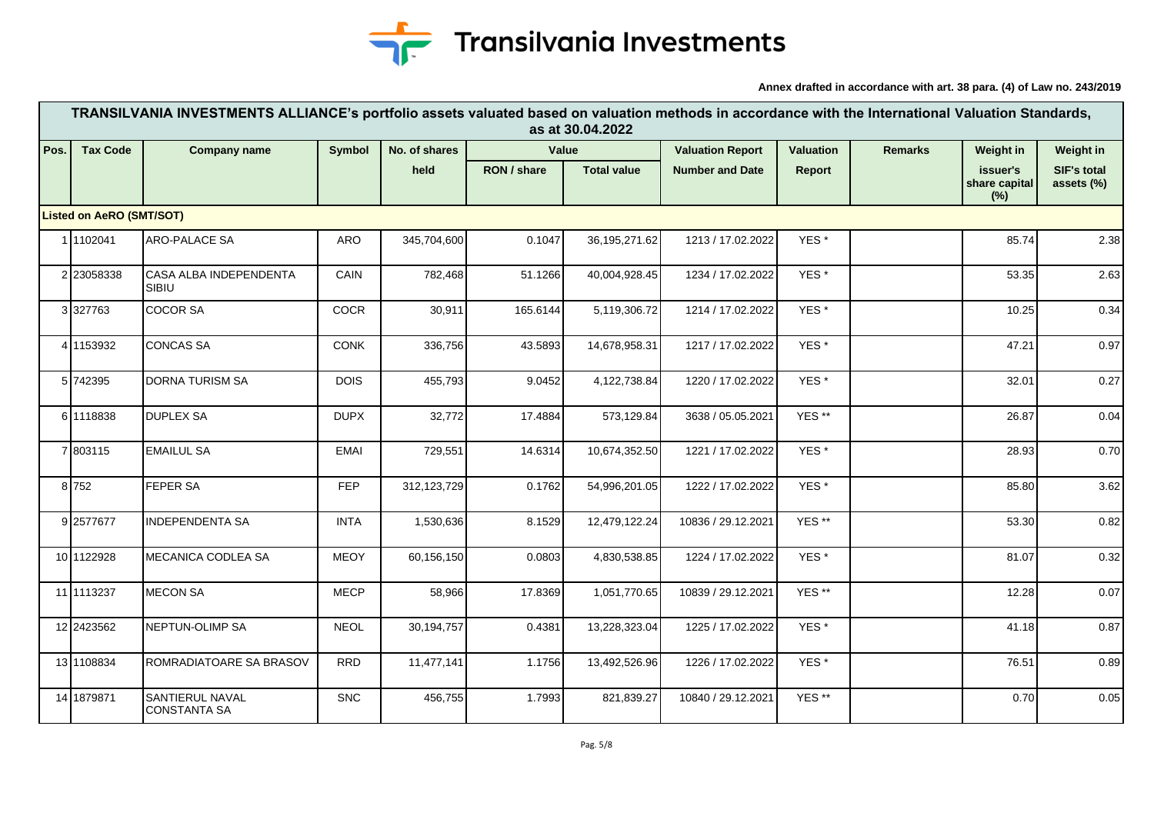

**Annex drafted in accordance with art. 38 para. (4) of Law no. 243/2019**

|      | TRANSILVANIA INVESTMENTS ALLIANCE's portfolio assets valuated based on valuation methods in accordance with the International Valuation Standards,<br>as at 30.04.2022 |                                               |               |               |             |                    |                        |                  |                |                                  |                                  |
|------|------------------------------------------------------------------------------------------------------------------------------------------------------------------------|-----------------------------------------------|---------------|---------------|-------------|--------------------|------------------------|------------------|----------------|----------------------------------|----------------------------------|
| Pos. | <b>Tax Code</b>                                                                                                                                                        | <b>Company name</b>                           | <b>Symbol</b> | No. of shares | Value       |                    |                        | <b>Valuation</b> | <b>Remarks</b> | Weight in                        | Weight in                        |
|      |                                                                                                                                                                        |                                               |               | held          | RON / share | <b>Total value</b> | <b>Number and Date</b> | Report           |                | issuer's<br>share capital<br>(%) | <b>SIF's total</b><br>assets (%) |
|      | <b>Listed on AeRO (SMT/SOT)</b>                                                                                                                                        |                                               |               |               |             |                    |                        |                  |                |                                  |                                  |
|      | 11102041                                                                                                                                                               | <b>ARO-PALACE SA</b>                          | <b>ARO</b>    | 345,704,600   | 0.1047      | 36, 195, 271.62    | 1213 / 17.02.2022      | YES <sup>*</sup> |                | 85.74                            | 2.38                             |
|      | 2 23058338                                                                                                                                                             | CASA ALBA INDEPENDENTA<br>SIBIU               | CAIN          | 782,468       | 51.1266     | 40,004,928.45      | 1234 / 17.02.2022      | YES*             |                | 53.35                            | 2.63                             |
|      | 3 327763                                                                                                                                                               | <b>COCOR SA</b>                               | COCR          | 30,911        | 165.6144    | 5,119,306.72       | 1214 / 17.02.2022      | YES*             |                | 10.25                            | 0.34                             |
|      | 4 1153932                                                                                                                                                              | <b>CONCAS SA</b>                              | <b>CONK</b>   | 336,756       | 43.5893     | 14,678,958.31      | 1217 / 17.02.2022      | YES*             |                | 47.21                            | 0.97                             |
|      | 5 742395                                                                                                                                                               | <b>DORNA TURISM SA</b>                        | <b>DOIS</b>   | 455,793       | 9.0452      | 4,122,738.84       | 1220 / 17.02.2022      | YES <sup>*</sup> |                | 32.01                            | 0.27                             |
|      | 6 1118838                                                                                                                                                              | <b>DUPLEX SA</b>                              | <b>DUPX</b>   | 32,772        | 17.4884     | 573,129.84         | 3638 / 05.05.2021      | YES **           |                | 26.87                            | 0.04                             |
|      | 7803115                                                                                                                                                                | <b>EMAILUL SA</b>                             | <b>EMAI</b>   | 729,551       | 14.6314     | 10,674,352.50      | 1221 / 17.02.2022      | YES*             |                | 28.93                            | 0.70                             |
|      | 8 752                                                                                                                                                                  | <b>FEPER SA</b>                               | FEP           | 312,123,729   | 0.1762      | 54,996,201.05      | 1222 / 17.02.2022      | YES <sup>*</sup> |                | 85.80                            | 3.62                             |
|      | 9 2577677                                                                                                                                                              | <b>INDEPENDENTA SA</b>                        | <b>INTA</b>   | 1,530,636     | 8.1529      | 12,479,122.24      | 10836 / 29.12.2021     | YES **           |                | 53.30                            | 0.82                             |
|      | 10 1122928                                                                                                                                                             | <b>MECANICA CODLEA SA</b>                     | <b>MEOY</b>   | 60,156,150    | 0.0803      | 4,830,538.85       | 1224 / 17.02.2022      | YES*             |                | 81.07                            | 0.32                             |
|      | 11 1113237                                                                                                                                                             | <b>MECON SA</b>                               | <b>MECP</b>   | 58,966        | 17.8369     | 1,051,770.65       | 10839 / 29.12.2021     | YES **           |                | 12.28                            | 0.07                             |
|      | 12 2423562                                                                                                                                                             | <b>NEPTUN-OLIMP SA</b>                        | <b>NEOL</b>   | 30,194,757    | 0.4381      | 13,228,323.04      | 1225 / 17.02.2022      | YES*             |                | 41.18                            | 0.87                             |
|      | 13 1108834                                                                                                                                                             | ROMRADIATOARE SA BRASOV                       | <b>RRD</b>    | 11,477,141    | 1.1756      | 13,492,526.96      | 1226 / 17.02.2022      | YES*             |                | 76.51                            | 0.89                             |
|      | 14 1879871                                                                                                                                                             | <b>SANTIERUL NAVAL</b><br><b>CONSTANTA SA</b> | <b>SNC</b>    | 456,755       | 1.7993      | 821,839.27         | 10840 / 29.12.2021     | YES **           |                | 0.70                             | 0.05                             |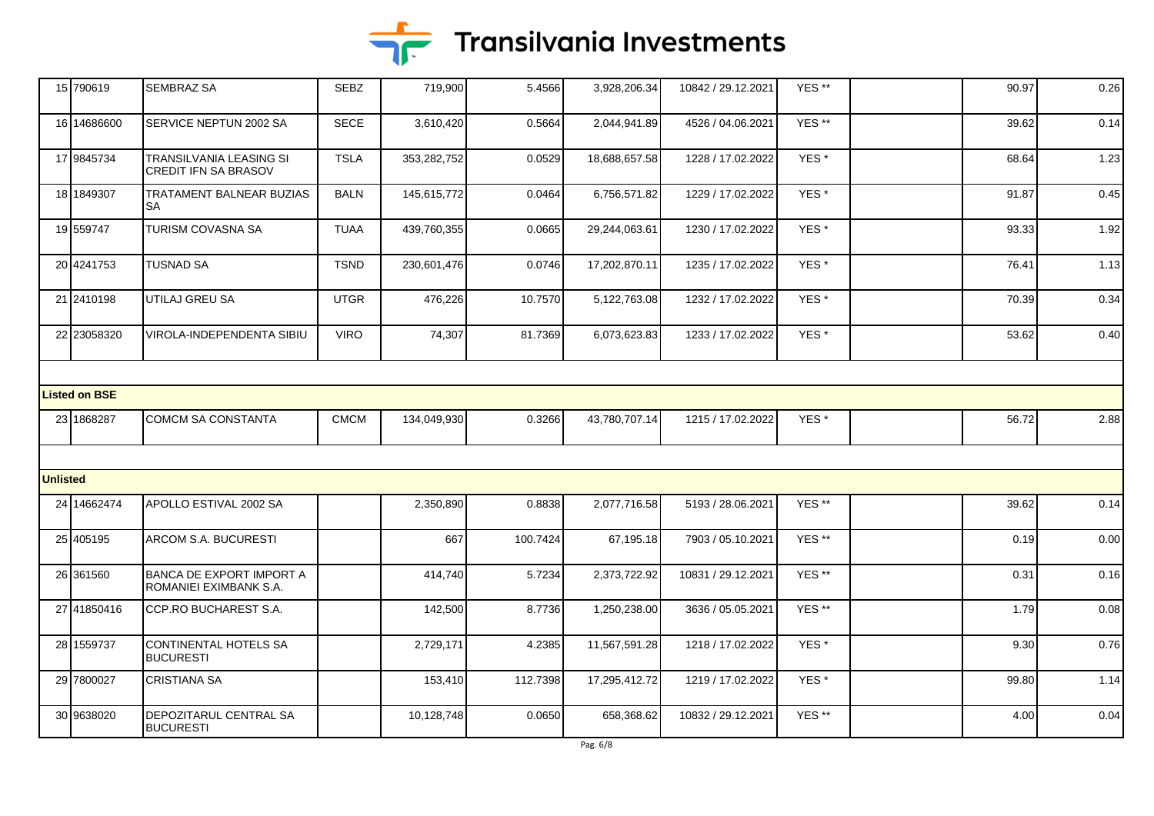# **Transilvania Investments**

|                 | 15 790619            | <b>SEMBRAZ SA</b>                                             | <b>SEBZ</b> | 719,900     | 5.4566   | 3,928,206.34  | 10842 / 29.12.2021 | YES **            | 90.97 | 0.26 |
|-----------------|----------------------|---------------------------------------------------------------|-------------|-------------|----------|---------------|--------------------|-------------------|-------|------|
|                 | 16 14686600          | SERVICE NEPTUN 2002 SA                                        | <b>SECE</b> | 3,610,420   | 0.5664   | 2,044,941.89  | 4526 / 04.06.2021  | YES **            | 39.62 | 0.14 |
|                 | 17 9845734           | <b>TRANSILVANIA LEASING SI</b><br><b>CREDIT IFN SA BRASOV</b> | <b>TSLA</b> | 353,282,752 | 0.0529   | 18,688,657.58 | 1228 / 17.02.2022  | YES <sup>*</sup>  | 68.64 | 1.23 |
|                 | 18 1849307           | <b>TRATAMENT BALNEAR BUZIAS</b><br>SA                         | <b>BALN</b> | 145,615,772 | 0.0464   | 6,756,571.82  | 1229 / 17.02.2022  | YES <sup>*</sup>  | 91.87 | 0.45 |
|                 | 19 559747            | TURISM COVASNA SA                                             | <b>TUAA</b> | 439,760,355 | 0.0665   | 29,244,063.61 | 1230 / 17.02.2022  | YES*              | 93.33 | 1.92 |
|                 | 20 4241753           | <b>TUSNAD SA</b>                                              | <b>TSND</b> | 230,601,476 | 0.0746   | 17,202,870.11 | 1235 / 17.02.2022  | YES*              | 76.41 | 1.13 |
|                 | 21 2410198           | UTILAJ GREU SA                                                | <b>UTGR</b> | 476,226     | 10.7570  | 5,122,763.08  | 1232 / 17.02.2022  | YES <sup>*</sup>  | 70.39 | 0.34 |
|                 | 22 23058320          | VIROLA-INDEPENDENTA SIBIU                                     | <b>VIRO</b> | 74,307      | 81.7369  | 6,073,623.83  | 1233 / 17.02.2022  | YES <sup>*</sup>  | 53.62 | 0.40 |
|                 |                      |                                                               |             |             |          |               |                    |                   |       |      |
|                 | <b>Listed on BSE</b> |                                                               |             |             |          |               |                    |                   |       |      |
|                 | 23 1868287           | <b>COMCM SA CONSTANTA</b>                                     | CMCM        | 134,049,930 | 0.3266   | 43,780,707.14 | 1215 / 17.02.2022  | YES*              | 56.72 | 2.88 |
|                 |                      |                                                               |             |             |          |               |                    |                   |       |      |
| <b>Unlisted</b> |                      |                                                               |             |             |          |               |                    |                   |       |      |
|                 | 24 14662474          | APOLLO ESTIVAL 2002 SA                                        |             | 2,350,890   | 0.8838   | 2,077,716.58  | 5193 / 28.06.2021  | YES **            | 39.62 | 0.14 |
|                 | 25 405195            | ARCOM S.A. BUCURESTI                                          |             | 667         | 100.7424 | 67,195.18     | 7903 / 05.10.2021  | YES **            | 0.19  | 0.00 |
|                 | 26 361560            | BANCA DE EXPORT IMPORT A<br>ROMANIEI EXIMBANK S.A.            |             | 414,740     | 5.7234   | 2,373,722.92  | 10831 / 29.12.2021 | YES **            | 0.31  | 0.16 |
|                 | 27 41850416          | CCP.RO BUCHAREST S.A.                                         |             | 142,500     | 8.7736   | 1,250,238.00  | 3636 / 05.05.2021  | YES **            | 1.79  | 0.08 |
|                 | 28 1559737           | CONTINENTAL HOTELS SA<br><b>BUCURESTI</b>                     |             | 2,729,171   | 4.2385   | 11,567,591.28 | 1218 / 17.02.2022  | YES <sup>*</sup>  | 9.30  | 0.76 |
|                 | 29 7800027           | <b>CRISTIANA SA</b>                                           |             | 153,410     | 112.7398 | 17,295,412.72 | 1219 / 17.02.2022  | YES <sup>*</sup>  | 99.80 | 1.14 |
|                 | 30 9638020           | DEPOZITARUL CENTRAL SA<br><b>BUCURESTI</b>                    |             | 10,128,748  | 0.0650   | 658,368.62    | 10832 / 29.12.2021 | YES <sup>**</sup> | 4.00  | 0.04 |
|                 |                      |                                                               |             |             |          |               |                    |                   |       |      |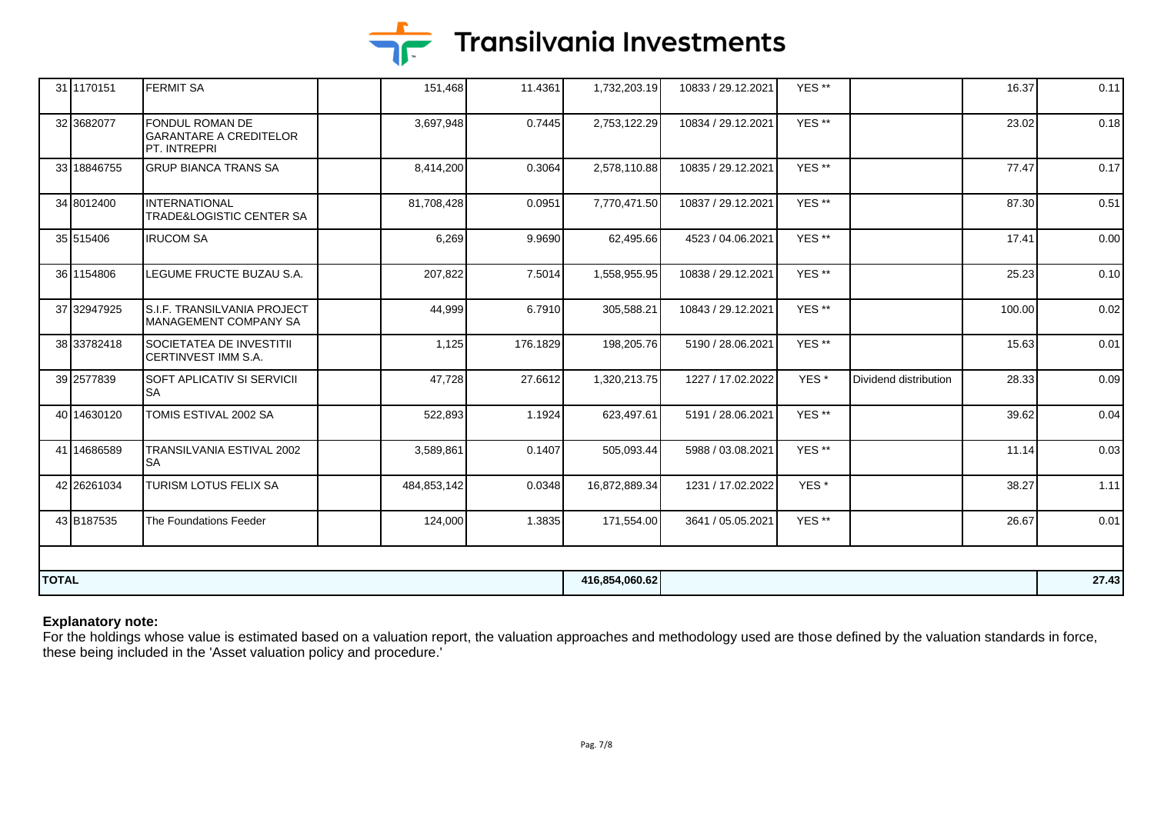

|              | 31 1170151  | <b>FERMIT SA</b>                                                        | 151,468     | 11.4361  | 1,732,203.19   | 10833 / 29.12.2021 | YES **            |                       | 16.37  | 0.11  |
|--------------|-------------|-------------------------------------------------------------------------|-------------|----------|----------------|--------------------|-------------------|-----------------------|--------|-------|
|              | 32 3682077  | <b>FONDUL ROMAN DE</b><br><b>GARANTARE A CREDITELOR</b><br>PT. INTREPRI | 3,697,948   | 0.7445   | 2,753,122.29   | 10834 / 29.12.2021 | YES **            |                       | 23.02  | 0.18  |
|              | 33 18846755 | <b>GRUP BIANCA TRANS SA</b>                                             | 8,414,200   | 0.3064   | 2,578,110.88   | 10835 / 29.12.2021 | YES **            |                       | 77.47  | 0.17  |
|              | 34 8012400  | <b>INTERNATIONAL</b><br><b>TRADE&amp;LOGISTIC CENTER SA</b>             | 81,708,428  | 0.0951   | 7,770,471.50   | 10837 / 29.12.2021 | YES **            |                       | 87.30  | 0.51  |
|              | 35 515406   | <b>IRUCOM SA</b>                                                        | 6,269       | 9.9690   | 62,495.66      | 4523 / 04.06.2021  | YES **            |                       | 17.41  | 0.00  |
|              | 36 1154806  | LEGUME FRUCTE BUZAU S.A.                                                | 207,822     | 7.5014   | 1,558,955.95   | 10838 / 29.12.2021 | YES <sup>**</sup> |                       | 25.23  | 0.10  |
|              | 37 32947925 | S.I.F. TRANSILVANIA PROJECT<br>MANAGEMENT COMPANY SA                    | 44,999      | 6.7910   | 305,588.21     | 10843 / 29.12.2021 | YES <sup>**</sup> |                       | 100.00 | 0.02  |
|              | 38 33782418 | <b>SOCIETATEA DE INVESTITII</b><br>CERTINVEST IMM S.A.                  | 1,125       | 176.1829 | 198,205.76     | 5190 / 28.06.2021  | YES <sup>**</sup> |                       | 15.63  | 0.01  |
|              | 39 2577839  | SOFT APLICATIV SI SERVICII<br><b>SA</b>                                 | 47,728      | 27.6612  | 1,320,213.75   | 1227 / 17.02.2022  | YES*              | Dividend distribution | 28.33  | 0.09  |
|              | 40 14630120 | TOMIS ESTIVAL 2002 SA                                                   | 522,893     | 1.1924   | 623,497.61     | 5191 / 28.06.2021  | YES <sup>**</sup> |                       | 39.62  | 0.04  |
|              | 41 14686589 | TRANSILVANIA ESTIVAL 2002<br><b>SA</b>                                  | 3,589,861   | 0.1407   | 505,093.44     | 5988 / 03.08.2021  | YES <sup>**</sup> |                       | 11.14  | 0.03  |
|              | 42 26261034 | TURISM LOTUS FELIX SA                                                   | 484,853,142 | 0.0348   | 16,872,889.34  | 1231 / 17.02.2022  | YES <sup>*</sup>  |                       | 38.27  | 1.11  |
|              | 43 B187535  | The Foundations Feeder                                                  | 124,000     | 1.3835   | 171,554.00     | 3641 / 05.05.2021  | YES **            |                       | 26.67  | 0.01  |
|              |             |                                                                         |             |          |                |                    |                   |                       |        |       |
| <b>TOTAL</b> |             |                                                                         |             |          | 416,854,060.62 |                    |                   |                       |        | 27.43 |

## **Explanatory note:**

For the holdings whose value is estimated based on a valuation report, the valuation approaches and methodology used are those defined by the valuation standards in force, these being included in the 'Asset valuation policy and procedure.'